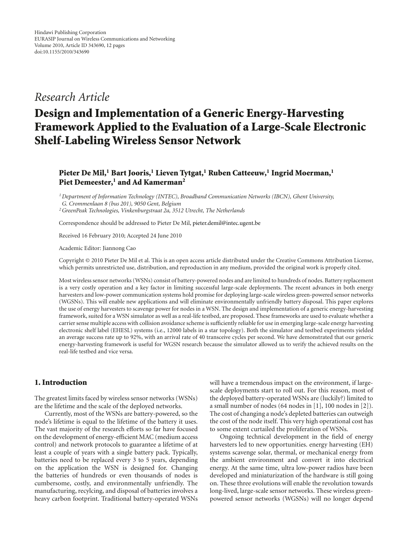# *Research Article*

# **Design and Implementation of a Generic Energy-Harvesting Framework Applied to the Evaluation of a Large-Scale Electronic Shelf-Labeling Wireless Sensor Network**

## Pieter De Mil,<sup>1</sup> Bart Jooris,<sup>1</sup> Lieven Tytgat,<sup>1</sup> Ruben Catteeuw,<sup>1</sup> Ingrid Moerman,<sup>1</sup> Piet Demeester,<sup>1</sup> and Ad Kamerman<sup>2</sup>

*1Department of Information Technology (INTEC), Broadband Communication Networks (IBCN), Ghent University, G. Crommenlaan 8 (bus 201), 9050 Gent, Belgium*

*2GreenPeak Technologies, Vinkenburgstraat 2a, 3512 Utrecht, The Netherlands*

Correspondence should be addressed to Pieter De Mil, pieter.demil@intec.ugent.be

Received 16 February 2010; Accepted 24 June 2010

Academic Editor: Jiannong Cao

Copyright © 2010 Pieter De Mil et al. This is an open access article distributed under the Creative Commons Attribution License, which permits unrestricted use, distribution, and reproduction in any medium, provided the original work is properly cited.

Most wireless sensor networks (WSNs) consist of battery-powered nodes and are limited to hundreds of nodes. Battery replacement is a very costly operation and a key factor in limiting successful large-scale deployments. The recent advances in both energy harvesters and low-power communication systems hold promise for deploying large-scale wireless green-powered sensor networks (WGSNs). This will enable new applications and will eliminate environmentally unfriendly battery disposal. This paper explores the use of energy harvesters to scavenge power for nodes in a WSN. The design and implementation of a generic energy-harvesting framework, suited for a WSN simulator as well as a real-life testbed, are proposed. These frameworks are used to evaluate whether a carrier sense multiple access with collision avoidance scheme is sufficiently reliable for use in emerging large-scale energy harvesting electronic shelf label (EHESL) systems (i.e., 12000 labels in a star topology). Both the simulator and testbed experiments yielded an average success rate up to 92%, with an arrival rate of 40 transceive cycles per second. We have demonstrated that our generic energy-harvesting framework is useful for WGSN research because the simulator allowed us to verify the achieved results on the real-life testbed and vice versa.

#### **1. Introduction**

The greatest limits faced by wireless sensor networks (WSNs) are the lifetime and the scale of the deployed networks.

Currently, most of the WSNs are battery-powered, so the node's lifetime is equal to the lifetime of the battery it uses. The vast majority of the research efforts so far have focused on the development of energy-efficient MAC (medium access control) and network protocols to guarantee a lifetime of at least a couple of years with a single battery pack. Typically, batteries need to be replaced every 3 to 5 years, depending on the application the WSN is designed for. Changing the batteries of hundreds or even thousands of nodes is cumbersome, costly, and environmentally unfriendly. The manufacturing, recylcing, and disposal of batteries involves a heavy carbon footprint. Traditional battery-operated WSNs will have a tremendous impact on the environment, if largescale deployments start to roll out. For this reason, most of the deployed battery-operated WSNs are (luckily?) limited to a small number of nodes (64 nodes in [1], 100 nodes in [2]). The cost of changing a node's depleted batteries can outweigh the cost of the node itself. This very high operational cost has to some extent curtailed the proliferation of WSNs.

Ongoing technical development in the field of energy harvesters led to new opportunities. energy harvesting (EH) systems scavenge solar, thermal, or mechanical energy from the ambient environment and convert it into electrical energy. At the same time, ultra low-power radios have been developed and miniaturization of the hardware is still going on. These three evolutions will enable the revolution towards long-lived, large-scale sensor networks. These wireless greenpowered sensor networks (WGSNs) will no longer depend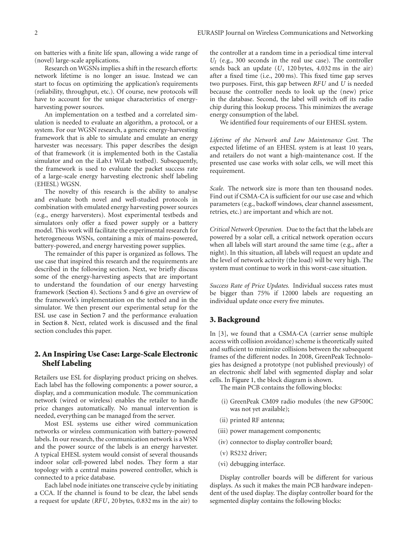on batteries with a finite life span, allowing a wide range of (novel) large-scale applications.

Research on WGSNs implies a shift in the research efforts: network lifetime is no longer an issue. Instead we can start to focus on optimizing the application's requirements (reliability, throughput, etc.). Of course, new protocols will have to account for the unique characteristics of energyharvesting power sources.

An implementation on a testbed and a correlated simulation is needed to evaluate an algorithm, a protocol, or a system. For our WGSN research, a generic energy-harvesting framework that is able to simulate and emulate an energy harvester was necessary. This paper describes the design of that framework (it is implemented both in the Castalia simulator and on the iLab.t WiLab testbed). Subsequently, the framework is used to evaluate the packet success rate of a large-scale energy harvesting electronic shelf labeling (EHESL) WGSN.

The novelty of this research is the ability to analyse and evaluate both novel and well-studied protocols in combination with emulated energy harvesting power sources (e.g., energy harversters). Most experimental testbeds and simulators only offer a fixed power supply or a battery model. This work will facilitate the experimental research for heterogeneous WSNs, containing a mix of mains-powered, battery-powered, and energy harvesting power supplies.

The remainder of this paper is organized as follows. The use case that inspired this research and the requirements are described in the following section. Next, we briefly discuss some of the energy-harvesting aspects that are important to understand the foundation of our energy harvesting framework (Section 4). Sections 5 and 6 give an overview of the framework's implementation on the testbed and in the simulator. We then present our experimental setup for the ESL use case in Section 7 and the performance evaluation in Section 8. Next, related work is discussed and the final section concludes this paper.

# **2. An Inspiring Use Case: Large-Scale Electronic Shelf Labeling**

Retailers use ESL for displaying product pricing on shelves. Each label has the following components: a power source, a display, and a communication module. The communication network (wired or wireless) enables the retailer to handle price changes automatically. No manual intervention is needed, everything can be managed from the server.

Most ESL systems use either wired communication networks or wireless communication with battery-powered labels. In our research, the communication network is a WSN and the power source of the labels is an energy harvester. A typical EHESL system would consist of several thousands indoor solar cell-powered label nodes. They form a star topology with a central mains powered controller, which is connected to a price database.

Each label node initiates one transceive cycle by initiating a CCA. If the channel is found to be clear, the label sends a request for update (*RFU*, 20 bytes, 0.832 ms in the air) to

the controller at a random time in a periodical time interval *UI* (e.g., 300 seconds in the real use case). The controller sends back an update (*U*, 120 bytes, 4.032 ms in the air) after a fixed time (i.e., 200 ms). This fixed time gap serves two purposes. First, this gap between *RFU* and *U* is needed because the controller needs to look up the (new) price in the database. Second, the label will switch off its radio chip during this lookup process. This minimizes the average energy consumption of the label.

We identified four requirements of our EHESL system.

*Lifetime of the Network and Low Maintenance Cost.* The expected lifetime of an EHESL system is at least 10 years, and retailers do not want a high-maintenance cost. If the presented use case works with solar cells, we will meet this requirement.

*Scale.* The network size is more than ten thousand nodes. Find out if CSMA-CA is sufficient for our use case and which parameters (e.g., backoff windows, clear channel assessment, retries, etc.) are important and which are not.

*Critical Network Operation.* Due to the fact that the labels are powered by a solar cell, a critical network operation occurs when all labels will start around the same time (e.g., after a night). In this situation, all labels will request an update and the level of network activity (the load) will be very high. The system must continue to work in this worst-case situation.

*Success Rate of Price Updates.* Individual success rates must be bigger than 75% if 12000 labels are requesting an individual update once every five minutes.

#### **3. Background**

In [3], we found that a CSMA-CA (carrier sense multiple access with collision avoidance) scheme is theoretically suited and sufficient to minimize collisions between the subsequent frames of the different nodes. In 2008, GreenPeak Technologies has designed a prototype (not published previously) of an electronic shelf label with segmented display and solar cells. In Figure 1, the block diagram is shown.

The main PCB contains the following blocks:

- (i) GreenPeak CM09 radio modules (the new GP500C was not yet available);
- (ii) printed RF antenna;
- (iii) power management components;
- (iv) connector to display controller board;
- (v) RS232 driver;
- (vi) debugging interface.

Display controller boards will be different for various displays. As such it makes the main PCB hardware independent of the used display. The display controller board for the segmented display contains the following blocks: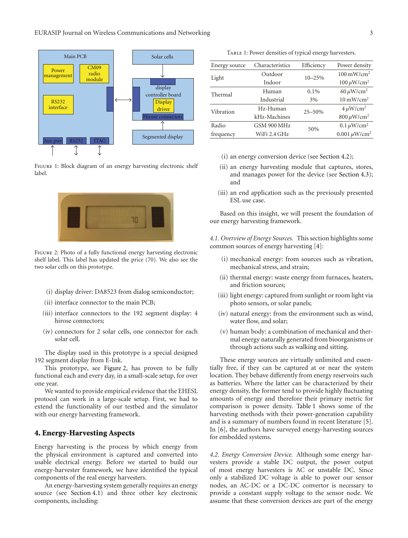

FIGURE 1: Block diagram of an energy harvesting electronic shelf label.



Figure 2: Photo of a fully functional energy harvesting electronic shelf label. This label has updated the price (70)*.* We also see the two solar cells on this prototype.

- (i) display driver: DA8523 from dialog semiconductor;
- (ii) interface connector to the main PCB;
- (iii) interface connectors to the 192 segment display: 4 hirose connectors;
- (iv) connectors for 2 solar cells, one connector for each solar cell.

The display used in this prototype is a special designed 192 segment display from E-Ink.

This prototype, see Figure 2, has proven to be fully functional each and every day, in a small-scale setup, for over one year.

We wanted to provide empirical evidence that the EHESL protocol can work in a large-scale setup. First, we had to extend the functionality of our testbed and the simulator with our energy harvesting framework.

### **4. Energy-Harvesting Aspects**

Energy harvesting is the process by which energy from the physical environment is captured and converted into usable electrical energy. Before we started to build our energy-harvester framework, we have identified the typical components of the real energy harvesters.

An energy-harvesting system generally requires an energy source (see Section 4.1) and three other key electronic components, including:

TABLE 1: Power densities of typical energy harvesters.

| Energy source | Characteristics | Efficiency | Power density                 |
|---------------|-----------------|------------|-------------------------------|
| Light         | Outdoor         | $10 - 25%$ | $100 \text{ mW/cm}^2$         |
|               | Indoor          |            | $100 \mu W/cm^2$              |
| Thermal       | Human           | 0.1%       | 60 $\mu$ W/cm <sup>2</sup>    |
|               | Industrial      | 3%         | $10 \text{ mW/cm}^2$          |
| Vibration     | Hz-Human        | 25-50%     | $4 \mu W/cm^2$                |
|               | kHz-Machines    |            | $800 \,\mathrm{\mu W/cm^2}$   |
| Radio         | GSM 900 MHz     | 50%        | $0.1 \,\mu\text{W/cm}^2$      |
| frequency     | WiFi 2.4 GHz    |            | 0.001 $\mu$ W/cm <sup>2</sup> |

- (i) an energy conversion device (see Section 4.2);
- (ii) an energy harvesting module that captures, stores, and manages power for the device (see Section 4.3); and
- (iii) an end application such as the previously presented ESL use case.

Based on this insight, we will present the foundation of our energy harvesting framework.

*4.1. Overview of Energy Sources.* This section highlights some common sources of energy harvesting [4]:

- (i) mechanical energy: from sources such as vibration, mechanical stress, and strain;
- (ii) thermal energy: waste energy from furnaces, heaters, and friction sources;
- (iii) light energy: captured from sunlight or room light via photo sensors, or solar panels;
- (iv) natural energy: from the environment such as wind, water flow, and solar;
- (v) human body: a combination of mechanical and thermal energy naturally generated from bioorganisms or through actions such as walking and sitting.

These energy sources are virtually unlimited and essentially free, if they can be captured at or near the system location. They behave differently from energy reservoirs such as batteries. Where the latter can be characterized by their energy density, the former tend to provide highly fluctuating amounts of energy and therefore their primary metric for comparison is power density. Table 1 shows some of the harvesting methods with their power-generation capability and is a summary of numbers found in recent literature [5]. In [6], the authors have surveyed energy-harvesting sources for embedded systems.

*4.2. Energy Conversion Device.* Although some energy harvesters provide a stable DC output, the power output of most energy harvesters is AC or unstable DC. Since only a stabilized DC voltage is able to power our sensor nodes, an AC-DC or a DC-DC convertor is necessary to provide a constant supply voltage to the sensor node. We assume that these conversion devices are part of the energy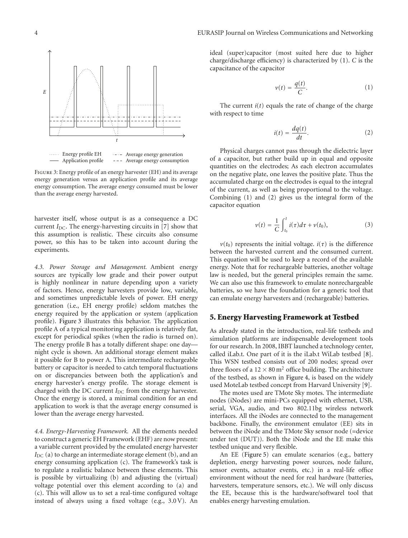

Figure 3: Energy profile of an energy harvester (EH) and its average energy generation versus an application profile and its average energy consumption. The average energy consumed must be lower than the average energy harvested.

harvester itself, whose output is as a consequence a DC current *I*<sub>DC</sub>. The energy-harvesting circuits in [7] show that this assumption is realistic. These circuits also consume power, so this has to be taken into account during the experiments.

*4.3. Power Storage and Management.* Ambient energy sources are typically low grade and their power output is highly nonlinear in nature depending upon a variety of factors. Hence, energy harvesters provide low, variable, and sometimes unpredictable levels of power. EH energy generation (i.e., EH energy profile) seldom matches the energy required by the application or system (application profile). Figure 3 illustrates this behavior. The application profile A of a typical monitoring application is relatively flat, except for periodical spikes (when the radio is turned on). The energy profile B has a totally different shape: one day night cycle is shown. An additional storage element makes it possible for B to power A. This intermediate rechargeable battery or capacitor is needed to catch temporal fluctuations on or discrepancies between both the application's and energy harvester's energy profile. The storage element is charged with the DC current *I*<sub>DC</sub> from the energy harvester. Once the energy is stored, a minimal condition for an end application to work is that the average energy consumed is lower than the average energy harvested.

*4.4. Energy-Harvesting Framework.* All the elements needed to construct a generic EH Framework (EHF) are now present: a variable current provided by the emulated energy harvester  $I_{\text{DC}}$  (a) to charge an intermediate storage element (b), and an energy consuming application (c). The framework's task is to regulate a realistic balance between these elements. This is possible by virtualizing (b) and adjusting the (virtual) voltage potential over this element according to (a) and (c). This will allow us to set a real-time configured voltage instead of always using a fixed voltage (e.g., 3.0 V). An

ideal (super)capacitor (most suited here due to higher charge/discharge efficiency) is characterized by (1). *C* is the capacitance of the capacitor

$$
v(t) = \frac{q(t)}{C}.\tag{1}
$$

The current  $i(t)$  equals the rate of change of the charge with respect to time

$$
i(t) = \frac{dq(t)}{dt}.
$$
 (2)

Physical charges cannot pass through the dielectric layer of a capacitor, but rather build up in equal and opposite quantities on the electrodes; As each electron accumulates on the negative plate, one leaves the positive plate. Thus the accumulated charge on the electrodes is equal to the integral of the current, as well as being proportional to the voltage. Combining (1) and (2) gives us the integral form of the capacitor equation

$$
v(t) = \frac{1}{C} \int_{t_0}^t i(\tau) d\tau + v(t_0), \qquad (3)
$$

 $v(t_0)$  represents the initial voltage.  $i(\tau)$  is the difference between the harvested current and the consumed current. This equation will be used to keep a record of the available energy. Note that for rechargeable batteries, another voltage law is needed, but the general principles remain the same. We can also use this framework to emulate nonrechargeable batteries, so we have the foundation for a generic tool that can emulate energy harvesters and (rechargeable) batteries.

#### **5. Energy Harvesting Framework at Testbed**

As already stated in the introduction, real-life testbeds and simulation platforms are indispensable development tools for our research. In 2008, IBBT launched a technology center, called iLab.t. One part of it is the iLab.t WiLab testbed [8]. This WSN testbed consists out of 200 nodes; spread over three floors of a  $12\times80\,\text{m}^2$  office building. The architecture of the testbed, as shown in Figure 4, is based on the widely used MoteLab testbed concept from Harvard University [9].

The motes used are TMote Sky motes. The intermediate nodes (iNodes) are mini-PCs equipped with ethernet, USB, serial, VGA, audio, and two 802.11bg wireless network interfaces. All the iNodes are connected to the management backbone. Finally, the environment emulator (EE) sits in between the iNode and the TMote Sky sensor node (=device under test (DUT)). Both the iNode and the EE make this testbed unique and very flexible.

An EE (Figure 5) can emulate scenarios (e.g., battery depletion, energy harvesting power sources, node failure, sensor events, actuator events, etc.) in a real-life office environment without the need for real hardware (batteries, harvesters, temperature sensors, etc.). We will only discuss the EE, because this is the hardware/softwarel tool that enables energy harvesting emulation.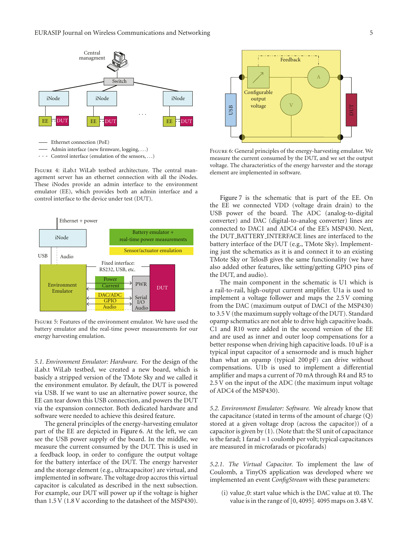

Admin interface (new firmware, logging, *...*)

- - - Control interface (emulation of the sensors, ...)

Figure 4: iLab.t WiLab testbed architecture. The central management server has an ethernet connection with all the iNodes. These iNodes provide an admin interface to the environment emulator (EE), which provides both an admin interface and a control interface to the device under test (DUT).



Figure 5: Features of the environment emulator. We have used the battery emulator and the real-time power measurements for our energy harvesting emulation.

*5.1. Environment Emulator: Hardware.* For the design of the iLab.t WiLab testbed, we created a new board, which is basicly a stripped version of the TMote Sky and we called it the environment emulator. By default, the DUT is powered via USB. If we want to use an alternative power source, the EE can tear down this USB connection, and powers the DUT via the expansion connector. Both dedicated hardware and software were needed to achieve this desired feature.

The general principles of the energy-harvesting emulator part of the EE are depicted in Figure 6. At the left, we can see the USB power supply of the board. In the middle, we measure the current consumed by the DUT. This is used in a feedback loop, in order to configure the output voltage for the battery interface of the DUT. The energy harvester and the storage element (e.g., ultracapacitor) are virtual, and implemented in software. The voltage drop accros this virtual capacitor is calculated as described in the next subsection. For example, our DUT will power up if the voltage is higher than 1.5 V (1.8 V according to the datasheet of the MSP430).



Figure 6: General principles of the energy-harvesting emulator. We measure the current consumed by the DUT, and we set the output voltage. The characteristics of the energy harvester and the storage element are implemented in software.

Figure 7 is the schematic that is part of the EE. On the EE we connected VDD (voltage drain drain) to the USB power of the board. The ADC (analog-to-digital converter) and DAC (digital-to-analog converter) lines are connected to DAC1 and ADC4 of the EE's MSP430. Next, the DUT BATTERY INTERFACE lines are interfaced to the battery interface of the DUT (e.g., TMote Sky). Implementing just the schematics as it is and connect it to an existing TMote Sky or TelosB gives the same functionality (we have also added other features, like setting/getting GPIO pins of the DUT, and audio).

The main component in the schematic is U1 which is a rail-to-rail, high-output current amplifier. U1a is used to implement a voltage follower and maps the 2.5 V coming from the DAC (maximum output of DAC1 of the MSP430) to 3.5 V (the maximum supply voltage of the DUT). Standard opamp schematics are not able to drive high capacitive loads. C1 and R10 were added in the second version of the EE and are used as inner and outer loop compensations for a better response when driving high capacitive loads. 10 uF is a typical input capacitor of a sensornode and is much higher than what an opamp (typical 200 pF) can drive without compensations. U1b is used to implement a differential amplifier and maps a current of 70 mA through R4 and R5 to 2.5 V on the input of the ADC (the maximum input voltage of ADC4 of the MSP430).

*5.2. Environment Emulator: Software.* We already know that the capacitance (stated in terms of the amount of charge (Q) stored at a given voltage drop (across the capacitor)) of a capacitor is given by (1). (Note that: the SI unit of capacitance is the farad; 1 farad = 1 coulomb per volt; typical capacitances are measured in microfarads or picofarads)

*5.2.1. The Virtual Capacitor.* To implement the law of Coulomb, a TinyOS application was developed where we implemented an event *ConfigStream* with these parameters:

(i) value 0: start value which is the DAC value at t0. The value is in the range of [0, 4095]*.* 4095 maps on 3.48 V.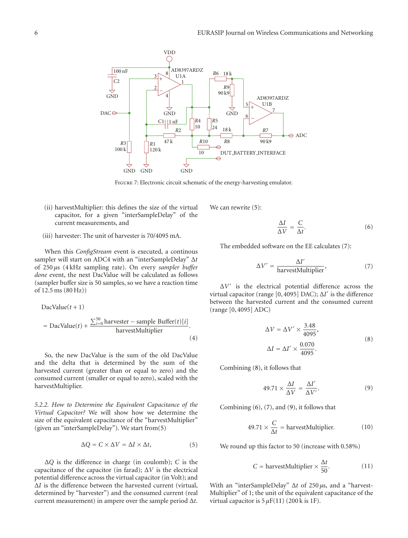

FIGURE 7: Electronic circuit schematic of the energy-harvesting emulator.

- (ii) harvestMultiplier: this defines the size of the virtual capacitor, for a given "interSampleDelay" of the current measurements, and
- (iii) harvester: The unit of harvester is 70/4095 mA.

When this *ConfigStream* event is executed, a continous sampler will start on ADC4 with an "interSampleDelay" Δ*t* of 250 *μ*s (4 kHz sampling rate). On every *sampler buffer done* event, the next DacValue will be calculated as follows (sampler buffer size is 50 samples, so we have a reaction time of 12.5 ms (80 Hz))

$$
DacValue(t + 1)
$$
  
= DacValue(t) +  $\frac{\sum_{i=0}^{50} \text{harvester} - \text{sample Buffer}(t)[i]}{\text{harvestMultiplier}}$ . (4)

So, the new DacValue is the sum of the old DacValue and the delta that is determined by the sum of the harvested current (greater than or equal to zero) and the consumed current (smaller or equal to zero), scaled with the harvestMultiplier.

*5.2.2. How to Determine the Equivalent Capacitance of the Virtual Capacitor?* We will show how we determine the size of the equivalent capacitance of the "harvestMultiplier" (given an "interSampleDelay"). We start from(5)

$$
\Delta Q = C \times \Delta V = \Delta I \times \Delta t,\tag{5}
$$

Δ*Q* is the difference in charge (in coulomb); *C* is the capacitance of the capacitor (in farad); Δ*V* is the electrical potential difference across the virtual capacitor (in Volt); and Δ*I* is the difference between the harvested current (virtual, determined by "harvester") and the consumed current (real current measurement) in ampere over the sample period Δ*t*.

We can rewrite (5):

$$
\frac{\Delta I}{\Delta V} = \frac{C}{\Delta t}.\tag{6}
$$

The embedded software on the EE calculates (7):

$$
\Delta V' = \frac{\Delta I'}{\text{harvestMultiplier}},\tag{7}
$$

Δ*V*- is the electrical potential difference across the virtual capacitor (range [0, 4095] DAC); Δ*I'* is the difference between the harvested current and the consumed current (range [0, 4095] ADC)

$$
\Delta V = \Delta V' \times \frac{3.48}{4095},
$$
  

$$
\Delta I = \Delta I' \times \frac{0.070}{4095}.
$$
 (8)

Combining (8), it follows that

$$
49.71 \times \frac{\Delta I}{\Delta V} = \frac{\Delta I'}{\Delta V'}.
$$
 (9)

Combining (6), (7), and (9), it follows that

$$
49.71 \times \frac{C}{\Delta t} = \text{harvestMultiplier.} \tag{10}
$$

We round up this factor to 50 (increase with 0.58%)

$$
C = \text{harvestMultiplier} \times \frac{\Delta t}{50}.
$$
 (11)

With an "interSampleDelay" Δ*t* of 250 *μ*s, and a "harvest-Multiplier" of 1; the unit of the equivalent capacitance of the virtual capacitor is  $5 \mu F(11)$  (200 k is 1F).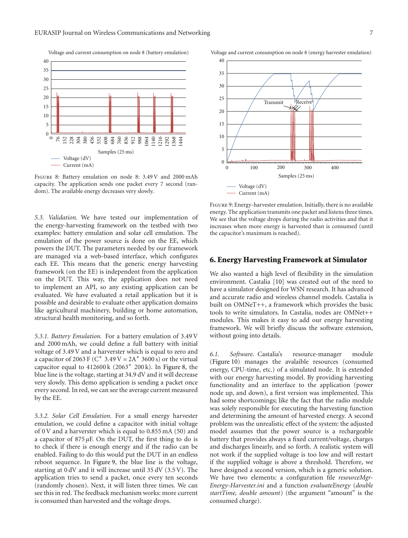

Figure 8: Battery emulation on node 8: 3.49 V and 2000 mAh capacity. The application sends one packet every 7 second (random). The available energy decreases very slowly.

*5.3. Validation.* We have tested our implementation of the energy-harvesting framework on the testbed with two examples: battery emulation and solar cell emulation. The emulation of the power source is done on the EE, which powers the DUT. The parameters needed by our framework are managed via a web-based interface, which configures each EE. This means that the generic energy harvesting framework (on the EE) is independent from the application on the DUT. This way, the application does not need to implement an API, so any existing application can be evaluated. We have evaluated a retail application but it is possible and desirable to evaluate other application domains like agricultural machinery, building or home automation, structural health monitoring, and so forth.

*5.3.1. Battery Emulation.* For a battery emulation of 3.49 V and 2000 mAh, we could define a full battery with initial voltage of 3.49 V and a harverster which is equal to zero and a capacitor of 2063 F ( $C^*$  3.49 V = 2A<sup>\*</sup> 3600 s) or the virtual capacitor equal to  $412600 \text{ k}$  (2063<sup>\*</sup> 200 k). In Figure 8, the blue line is the voltage, starting at 34.9 dV and it will decrease very slowly. This demo application is sending a packet once every second. In red, we can see the average current measured by the EE.

*5.3.2. Solar Cell Emulation.* For a small energy harvester emulation, we could define a capacitor with initial voltage of 0 V and a harverster which is equal to 0.855 mA (50) and a capacitor of 875 *μ*F. On the DUT, the first thing to do is to check if there is enough energy and if the radio can be enabled. Failing to do this would put the DUT in an endless reboot sequence. In Figure 9, the blue line is the voltage, starting at 0 dV and it will increase until 35 dV (3.5 V). The application tries to send a packet, once every ten seconds (randomly chosen). Next, it will listen three times. We can see this in red. The feedback mechanism works: more current is consumed than harvested and the voltage drops.



Figure 9: Energy-harvester emulation. Initially, there is no available energy. The application transmits one packet and listens three times. We see that the voltage drops during the radio activities and that it increases when more energy is harvested than is consumed (until the capacitor's maximum is reached).

#### **6. Energy Harvesting Framework at Simulator**

We also wanted a high level of flexibility in the simulation environment. Castalia [10] was created out of the need to have a simulator designed for WSN research. It has advanced and accurate radio and wireless channel models. Castalia is built on OMNeT++, a framework which provides the basic tools to write simulators. In Castalia, nodes are OMNet++ modules. This makes it easy to add our energy harvesting framework. We will briefly discuss the software extension, without going into details.

*6.1. Software.* Castalia's resource-manager module (Figure 10) manages the avalaible resources (consumed energy, CPU-time, etc.) of a simulated node. It is extended with our energy harvesting model. By providing harvesting functionality and an interface to the application (power node up, and down), a first version was implemented. This had some shortcomings; like the fact that the radio module was solely responsible for executing the harvesting function and determining the amount of harvested energy. A second problem was the unrealistic effect of the system: the adjusted model assumes that the power source is a rechargeable battery that provides always a fixed current/voltage, charges and discharges linearly, and so forth. A realistic system will not work if the supplied voltage is too low and will restart if the supplied voltage is above a threshold. Therefore, we have designed a second version, which is a generic solution. We have two elements: a configuration file *resourceMgr-Energy-Harvester.ini* and a function *evaluateEnergy* (*double startTime, double amount*) (the argument "amount" is the consumed charge).

Voltage and current consumption on node 8 (energy harvester emulation)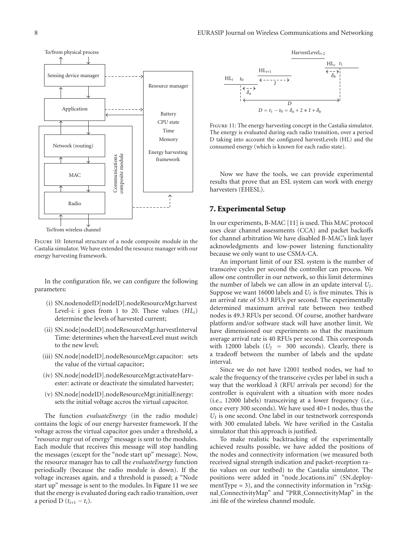

Figure 10: Internal structure of a node composite module in the Castalia simulator. We have extended the resource manager with our energy harvesting framework.

In the configuration file, we can configure the following parameters:

- (i) SN.nodenodeID[nodeID].nodeResourceMgr.harvest Level-i: i goes from 1 to 20. These values (*HLi*) determine the levels of harvested current;
- (ii) SN.node[nodeID].nodeResourceMgr.harvestInterval Time: determines when the harvestLevel must switch to the new level;
- (iii) SN.node[nodeID].nodeResourceMgr.capacitor: sets the value of the virtual capacitor;
- (iv) SN.node[nodeID].nodeResourceMgr.activateHarvester: activate or deactivate the simulated harvester;
- (v) SN.node[nodeID].nodeResourceMgr.initialEnergy: sets the initial voltage accros the virtual capacitor.

The function *evaluateEnergy* (in the radio module) contains the logic of our energy harvester framework. If the voltage across the virtual capacitor goes under a threshold, a "resource mgr out of energy" message is sent to the modules. Each module that receives this message will stop handling the messages (except for the "node start up" message). Now, the resource manager has to call the *evaluateEnergy* function periodically (because the radio module is down). If the voltage increases again, and a threshold is passed; a "Node start up" message is sent to the modules. In Figure 11 we see that the energy is evaluated during each radio transition, over a period D  $(t_{i+1} - t_i)$ .



Figure 11: The energy harvesting concept in the Castalia simulator. The energy is evaluated during each radio transition, over a period D taking into account the configured harvestLevels (HL) and the consumed energy (which is known for each radio state).

Now we have the tools, we can provide experimental results that prove that an ESL system can work with energy harvesters (EHESL).

#### **7. Experimental Setup**

In our experiments, B-MAC [11] is used. This MAC protocol uses clear channel assessments (CCA) and packet backoffs for channel arbitration We have disabled B-MAC's link layer acknowledgments and low-power listening functionality because we only want to use CSMA-CA.

An important limit of our ESL system is the number of transceive cycles per second the controller can process. We allow one controller in our network, so this limit determines the number of labels we can allow in an update interval *UI*. Suppose we want 16000 labels and *UI* is five minutes. This is an arrival rate of 53.3 RFUs per second. The experimentally determined maximum arrival rate between two testbed nodes is 49.3 RFUs per second. Of course, another hardware platform and/or software stack will have another limit. We have dimensioned our experiments so that the maximum average arrival rate is 40 RFUs per second. This corresponds with 12000 labels  $(U_I = 300$  seconds). Clearly, there is a tradeoff between the number of labels and the update interval.

Since we do not have 12001 testbed nodes, we had to scale the frequency of the transceive cycles per label in such a way that the workload *λ* (RFU arrivals per second) for the controller is equivalent with a situation with more nodes (i.e., 12000 labels) transceiving at a lower frequency (i.e., once every 300 seconds). We have used 40+1 nodes, thus the *U<sub>I</sub>* is one second. One label in our testnetwork corresponds with 300 emulated labels. We have verified in the Castalia simulator that this approach is justified.

To make realistic backtracking of the experimentally achieved results possible, we have added the positions of the nodes and connectivity information (we measured both received signal strength indication and packet-reception ratio values on our testbed) to the Castalia simulator. The positions were added in "node locations.ini" (SN.deploymentType = 3), and the connectivity information in "rxSignal ConnectivityMap" and "PRR ConnectivityMap" in the .ini file of the wireless channel module.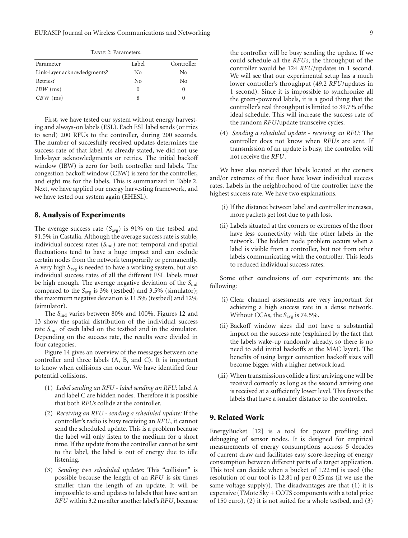TABLE 2: Parameters.

First, we have tested our system without energy harvesting and always-on labels (ESL). Each ESL label sends (or tries to send) 200 RFUs to the controller, during 200 seconds. The number of succesfully received updates determines the success rate of that label. As already stated, we did not use link-layer acknowledgments or retries. The initial backoff window (IBW) is zero for both controller and labels. The congestion backoff window (CBW) is zero for the controller, and eight ms for the labels. This is summarized in Table 2. Next, we have applied our energy harvesting framework, and we have tested our system again (EHESL).

#### **8. Analysis of Experiments**

The average success rate  $(S_{avg})$  is 91% on the tesbed and 91.5% in Castalia. Although the average success rate is stable, individual success rates (S<sub>ind</sub>) are not: temporal and spatial fluctuations tend to have a huge impact and can exclude certain nodes from the network temporarily or permanently. A very high *S*avg is needed to have a working system, but also individual success rates of all the different ESL labels must be high enough. The average negative deviation of the *S*ind compared to the *S*avg is 3% (testbed) and 3.5% (simulator); the maximum negative deviation is 11.5% (testbed) and 12% (simulator).

The *S*ind varies between 80% and 100%. Figures 12 and 13 show the spatial distribution of the individual success rate S<sub>ind</sub> of each label on the testbed and in the simulator. Depending on the success rate, the results were divided in four categories.

Figure 14 gives an overview of the messages between one controller and three labels (A, B, and C). It is important to know when collisions can occur. We have identified four potential collisions.

- (1) *Label sending an RFU label sending an RFU:* label A and label C are hidden nodes. Therefore it is possible that both *RFUs* collide at the controller.
- (2) *Receiving an RFU sending a scheduled update:* If the controller's radio is busy receiving an *RFU*, it cannot send the scheduled update. This is a problem because the label will only listen to the medium for a short time. If the update from the controller cannot be sent to the label, the label is out of energy due to idle listening.
- (3) *Sending two scheduled updates:* This "collision" is possible because the length of an *RFU* is six times smaller than the length of an update. It will be impossible to send updates to labels that have sent an *RFU* within 3.2 ms after another label's *RFU*, because

the controller will be busy sending the update. If we could schedule all the *RFUs*, the throughput of the controller would be 124 *RFU*/updates in 1 second. We will see that our experimental setup has a much lower controller's throughput (49.2 *RFU*/updates in 1 second). Since it is impossible to synchronize all the green-powered labels, it is a good thing that the controller's real throughput is limited to 39.7% of the ideal schedule. This will increase the success rate of the random *RFU*/update transceive cycles.

(4) *Sending a scheduled update - receiving an RFU:* The controller does not know when *RFUs* are sent. If transmission of an update is busy, the controller will not receive the *RFU*.

We have also noticed that labels located at the corners and/or extremes of the floor have lower individual success rates. Labels in the neighborhood of the controller have the highest success rate. We have two explanations.

- (i) If the distance between label and controller increases, more packets get lost due to path loss.
- (ii) Labels situated at the corners or extremes of the floor have less connectivity with the other labels in the network. The hidden node problem occurs when a label is visible from a controller, but not from other labels communicating with the controller. This leads to reduced individual success rates.

Some other conclusions of our experiments are the following:

- (i) Clear channel assessments are very important for achieving a high success rate in a dense network. Without CCAs, the *S*avg is 74.5%.
- (ii) Backoff window sizes did not have a substantial impact on the success rate (explained by the fact that the labels wake-up randomly already, so there is no need to add initial backoffs at the MAC layer). The benefits of using larger contention backoff sizes will become bigger with a higher network load.
- (iii) When transmissions collide a first arriving one will be received correctly as long as the second arriving one is received at a sufficiently lower level. This favors the labels that have a smaller distance to the controller.

#### **9. Related Work**

EnergyBucket [12] is a tool for power profiling and debugging of sensor nodes. It is designed for empirical measurements of energy consumptions accross 5 decades of current draw and facilitates easy score-keeping of energy consumption between different parts of a target application. This tool can decide when a bucket of 1.22 mJ is used (the resolution of our tool is 12.81 nJ per 0.25 ms (if we use the same voltage supply)). The disadvantages are that (1) it is expensive (TMote Sky + COTS components with a total price of 150 euro), (2) it is not suited for a whole testbed, and (3)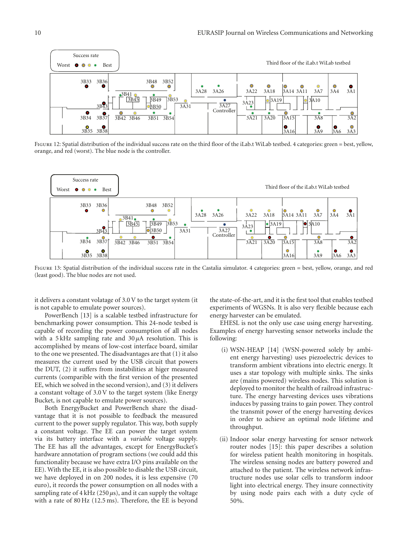

FIGURE 12: Spatial distribution of the individual success rate on the third floor of the iLab.t WiLab testbed. 4 categories: green = best, yellow, orange, and red (worst). The blue node is the controller.



Figure 13: Spatial distribution of the individual success rate in the Castalia simulator. 4 categories: green = best, yellow, orange, and red (least good). The blue nodes are not used.

it delivers a constant volatage of 3.0 V to the target system (it is not capable to emulate power sources).

PowerBench [13] is a scalable testbed infrastructure for benchmarking power consumption. This 24-node tesbed is capable of recording the power consumption of all nodes with a 5 kHz sampling rate and 30 *μ*A resolution. This is accomplished by means of low-cost interface board, similar to the one we presented. The disadvantages are that (1) it also measures the current used by the USB circuit that powers the DUT, (2) it suffers from instabilities at higer measured currents (comparible with the first version of the presented EE, which we solved in the second version), and (3) it delivers a constant voltage of 3.0 V to the target system (like Energy Bucket, is not capable to emulate power sources).

Both EnergyBucket and PowerBench share the disadvantage that it is not possible to feedback the measured current to the power supply regulator. This way, both supply a constant voltage. The EE can power the target system via its battery interface with a *variable* voltage supply. The EE has all the advantages, except for EnergyBucket's hardware annotation of program sections (we could add this functionality because we have extra I/O pins available on the EE). With the EE, it is also possible to disable the USB circuit, we have deployed in on 200 nodes, it is less expensive (70 euro), it records the power consumption on all nodes with a sampling rate of  $4 \text{ kHz } (250 \mu s)$ , and it can supply the voltage with a rate of 80 Hz (12.5 ms). Therefore, the EE is beyond

the state-of-the-art, and it is the first tool that enables testbed experiments of WGSNs. It is also very flexible because each energy harvester can be emulated.

EHESL is not the only use case using energy harvesting. Examples of energy harvesting sensor networks include the following:

- (i) WSN-HEAP [14] (WSN-powered solely by ambient energy harvesting) uses piezoelectric devices to transform ambient vibrations into electric energy. It uses a star topology with multiple sinks. The sinks are (mains powered) wireless nodes. This solution is deployed to monitor the health of railroad infrastructure. The energy harvesting devices uses vibrations induces by passing trains to gain power. They control the transmit power of the energy harvesting devices in order to achieve an optimal node lifetime and throughput.
- (ii) Indoor solar energy harvesting for sensor network router nodes [15]: this paper describes a solution for wireless patient health monitoring in hospitals. The wireless sensing nodes are battery powered and attached to the patient. The wireless network infrastructure nodes use solar cells to transform indoor light into electrical energy. They insure connectivity by using node pairs each with a duty cycle of 50%.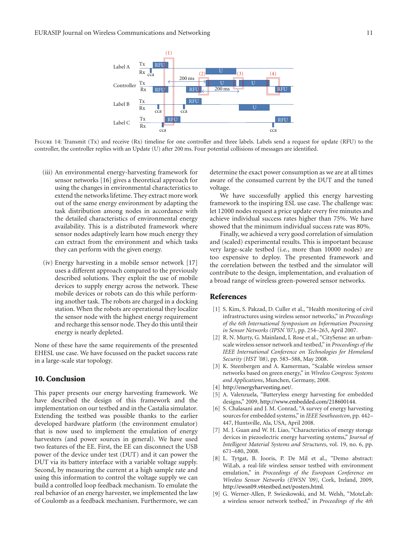

FIGURE 14: Transmit (Tx) and receive (Rx) timeline for one controller and three labels. Labels send a request for update (RFU) to the controller, the controller replies with an Update (U) after 200 ms. Four potential collisions of messages are identified.

- (iii) An environmental energy-harvesting framework for sensor networks [16] gives a theoretical approach for using the changes in environmental characteristics to extend the networks lifetime. They extract more work out of the same energy environment by adapting the task distribution among nodes in accordance with the detailed characteristics of environmental energy availability. This is a distributed framework where sensor nodes adaptively learn how much energy they can extract from the environment and which tasks they can perform with the given energy.
- (iv) Energy harvesting in a mobile sensor network [17] uses a different approach compared to the previously described solutions. They exploit the use of mobile devices to supply energy across the network. These mobile devices or robots can do this while performing another task. The robots are charged in a docking station. When the robots are operational they localize the sensor node with the highest energy requirement and recharge this sensor node. They do this until their energy is nearly depleted.

None of these have the same requirements of the presented EHESL use case. We have focussed on the packet success rate in a large-scale star topology.

#### **10. Conclusion**

This paper presents our energy harvesting framework. We have described the design of this framework and the implementation on our testbed and in the Castalia simulator. Extending the testbed was possible thanks to the earlier developed hardware platform (the environment emulator) that is now used to implement the emulation of energy harvesters (and power sources in general). We have used two features of the EE. First, the EE can disconnect the USB power of the device under test (DUT) and it can power the DUT via its battery interface with a variable voltage supply. Second, by measuring the current at a high sample rate and using this information to control the voltage supply we can build a controlled loop feedback mechanism. To emulate the real behavior of an energy harvester, we implemented the law of Coulomb as a feedback mechanism. Furthermore, we can

determine the exact power consumption as we are at all times aware of the consumed current by the DUT and the tuned voltage.

We have successfully applied this energy harvesting framework to the inspiring ESL use case. The challenge was: let 12000 nodes request a price update every five minutes and achieve individual success rates higher than 75%. We have showed that the minimum individual success rate was 80%.

Finally, we achieved a very good correlation of simulation and (scaled) experimental results. This is important because very large-scale testbed (i.e., more than 10000 nodes) are too expensive to deploy. The presented framework and the correlation between the testbed and the simulator will contribute to the design, implementation, and evaluation of a broad range of wireless green-powered sensor networks.

#### **References**

- [1] S. Kim, S. Pakzad, D. Culler et al., "Health monitoring of civil infrastructures using wireless sensor networks," in *Proceedings of the 6th International Symposium on Information Processing in Sensor Networks (IPSN '07)*, pp. 254–263, April 2007.
- [2] R. N. Murty, G. Mainland, I. Rose et al., "CitySense: an urbanscale wireless sensor network and testbed," in *Proceedings of the IEEE International Conference on Technologies for Homeland Security (HST '08)*, pp. 583–588, May 2008.
- [3] K. Steenbergen and A. Kamerman, "Scalable wireless sensor networks based on green energy," in *Wireless Congress: Systems and Applications*, Munchen, Germany, 2008.
- [4] http://energyharvesting.net/.
- [5] A. Valenzuela, "Batteryless energy harvesting for embedded designs," 2009, http://www.embedded.com/218600144.
- [6] S. Chalasani and J. M. Conrad, "A survey of energy harvesting sources for embedded systems," in *IEEE Southeastcon*, pp. 442– 447, Huntsville, Ala, USA, April 2008.
- [7] M. J. Guan and W. H. Liao, "Characteristics of energy storage devices in piezoelectric energy harvesting systems," *Journal of Intelligent Material Systems and Structures*, vol. 19, no. 6, pp. 671–680, 2008.
- [8] L. Tytgat, B. Jooris, P. De Mil et al., "Demo abstract: WiLab, a real-life wireless sensor testbed with environment emulation," in *Proceedings of the European Conference on Wireless Sensor Networks (EWSN '09)*, Cork, Ireland, 2009, http://ewsn09.v6testbed.net/posters.html.
- [9] G. Werner-Allen, P. Swieskowski, and M. Welsh, "MoteLab: a wireless sensor network testbed," in *Proceedings of the 4th*